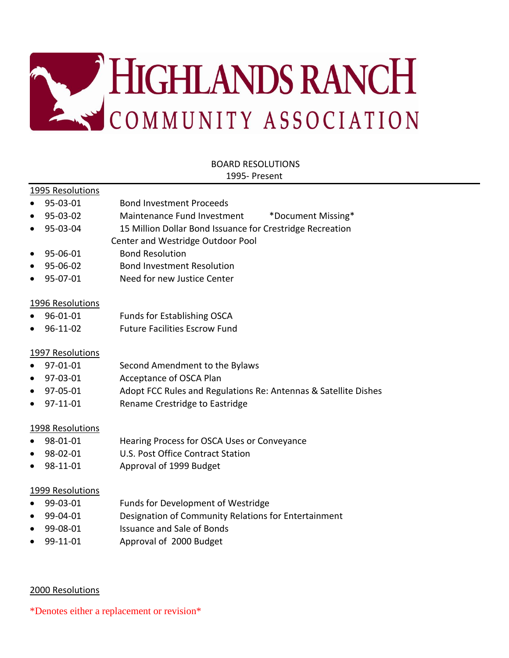

# BOARD RESOLUTIONS

#### 1995- Present

#### 1995 Resolutions

- 95-03-01 Bond Investment Proceeds
- 95-03-02 Maintenance Fund Investment \*Document Missing\*
- 95-03-04 15 Million Dollar Bond Issuance for Crestridge Recreation Center and Westridge Outdoor Pool
- 95-06-01 Bond Resolution
- 95-06-02 Bond Investment Resolution
- 95-07-01 Need for new Justice Center

#### 1996 Resolutions

- 96-01-01 Funds for Establishing OSCA
- 96-11-02 Future Facilities Escrow Fund

#### 1997 Resolutions

- 97-01-01 Second Amendment to the Bylaws
- 97-03-01 Acceptance of OSCA Plan
- 97-05-01 Adopt FCC Rules and Regulations Re: Antennas & Satellite Dishes
- 97-11-01 Rename Crestridge to Eastridge

#### 1998 Resolutions

- 98-01-01 Hearing Process for OSCA Uses or Conveyance
- 98-02-01 U.S. Post Office Contract Station
- 98-11-01 Approval of 1999 Budget

#### 1999 Resolutions

- 99-03-01 Funds for Development of Westridge
- 99-04-01 Designation of Community Relations for Entertainment
- 99-08-01 Issuance and Sale of Bonds
- 99-11-01 Approval of 2000 Budget

#### 2000 Resolutions

\*Denotes either a replacement or revision\*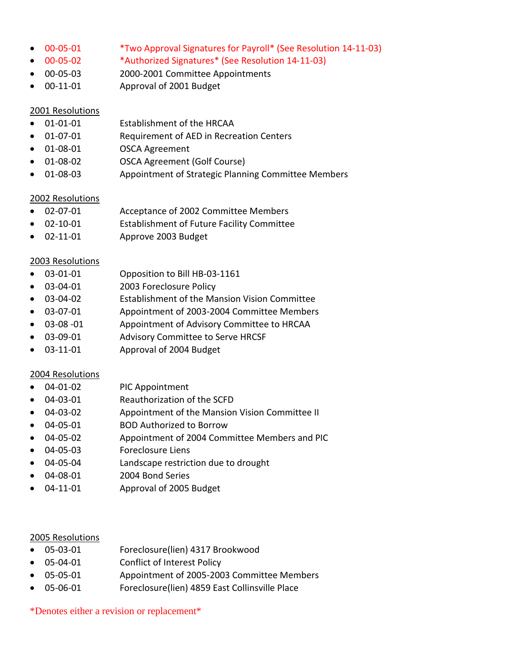- 00-05-01 \*Two Approval Signatures for Payroll\* (See Resolution 14-11-03)
- 00-05-02 \*Authorized Signatures\* (See Resolution 14-11-03)
- 00-05-03 2000-2001 Committee Appointments
- 00-11-01 Approval of 2001 Budget

- 01-01-01 Establishment of the HRCAA
- 01-07-01 Requirement of AED in Recreation Centers
- 01-08-01 OSCA Agreement
- 01-08-02 OSCA Agreement (Golf Course)
- 01-08-03 Appointment of Strategic Planning Committee Members

#### 2002 Resolutions

- 02-07-01 Acceptance of 2002 Committee Members
- 02-10-01 Establishment of Future Facility Committee
- 02-11-01 Approve 2003 Budget

# 2003 Resolutions

- 03-01-01 Opposition to Bill HB-03-1161
- 03-04-01 2003 Foreclosure Policy
- 03-04-02 Establishment of the Mansion Vision Committee
- 03-07-01 Appointment of 2003-2004 Committee Members
- 03-08 -01 Appointment of Advisory Committee to HRCAA
- 03-09-01 Advisory Committee to Serve HRCSF
- 03-11-01 Approval of 2004 Budget

# 2004 Resolutions

- 04-01-02 PIC Appointment
- 04-03-01 Reauthorization of the SCFD
- 04-03-02 Appointment of the Mansion Vision Committee II
- 04-05-01 BOD Authorized to Borrow
- 04-05-02 Appointment of 2004 Committee Members and PIC
- 04-05-03 Foreclosure Liens
- 04-05-04 Landscape restriction due to drought
- 04-08-01 2004 Bond Series
- 04-11-01 Approval of 2005 Budget

# 2005 Resolutions

- 05-03-01 Foreclosure(lien) 4317 Brookwood
- 05-04-01 Conflict of Interest Policy
- 05-05-01 Appointment of 2005-2003 Committee Members
- 05-06-01 Foreclosure(lien) 4859 East Collinsville Place

\*Denotes either a revision or replacement\*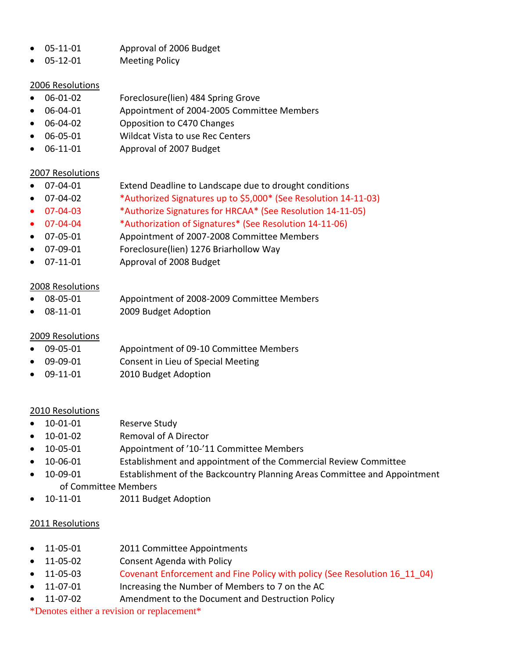- 05-11-01 Approval of 2006 Budget
- 05-12-01 Meeting Policy

- 06-01-02 Foreclosure(lien) 484 Spring Grove
- 06-04-01 Appointment of 2004-2005 Committee Members
- 06-04-02 Opposition to C470 Changes
- 06-05-01 Wildcat Vista to use Rec Centers
- 06-11-01 Approval of 2007 Budget

# 2007 Resolutions

- 07-04-01 Extend Deadline to Landscape due to drought conditions
- 07-04-02 \*Authorized Signatures up to \$5,000\* (See Resolution 14-11-03)
	- 07-04-03 \*Authorize Signatures for HRCAA\* (See Resolution 14-11-05)
- 07-04-04 \*Authorization of Signatures\* (See Resolution 14-11-06)
- 07-05-01 Appointment of 2007-2008 Committee Members
- 07-09-01 Foreclosure(lien) 1276 Briarhollow Way
- 07-11-01 Approval of 2008 Budget

# 2008 Resolutions

- 08-05-01 Appointment of 2008-2009 Committee Members
- 08-11-01 2009 Budget Adoption

# 2009 Resolutions

- 09-05-01 Appointment of 09-10 Committee Members
- 09-09-01 Consent in Lieu of Special Meeting
- 09-11-01 2010 Budget Adoption

# 2010 Resolutions

- 10-01-01 Reserve Study
- 10-01-02 Removal of A Director
- 10-05-01 Appointment of '10-'11 Committee Members
- 10-06-01 Establishment and appointment of the Commercial Review Committee
- 10-09-01 Establishment of the Backcountry Planning Areas Committee and Appointment of Committee Members
- 10-11-01 2011 Budget Adoption

# 2011 Resolutions

- 11-05-01 2011 Committee Appointments
- 11-05-02 Consent Agenda with Policy
- 11-05-03 Covenant Enforcement and Fine Policy with policy (See Resolution 16 11 04)
- 11-07-01 Increasing the Number of Members to 7 on the AC
- 11-07-02 Amendment to the Document and Destruction Policy
- \*Denotes either a revision or replacement\*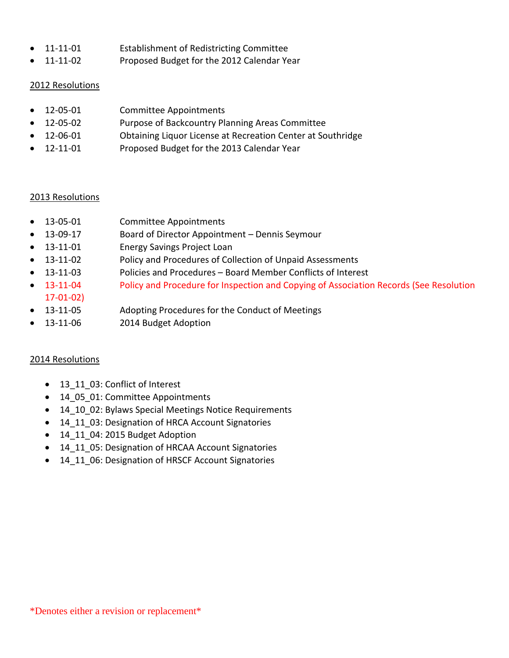- 11-11-01 Establishment of Redistricting Committee
- 11-11-02 Proposed Budget for the 2012 Calendar Year

- 12-05-01 Committee Appointments
- 12-05-02 Purpose of Backcountry Planning Areas Committee
- 12-06-01 Obtaining Liquor License at Recreation Center at Southridge
- 12-11-01 Proposed Budget for the 2013 Calendar Year

#### 2013 Resolutions

- 13-05-01 Committee Appointments
- 13-09-17 Board of Director Appointment Dennis Seymour
- 13-11-01 Energy Savings Project Loan
- 13-11-02 Policy and Procedures of Collection of Unpaid Assessments
- 13-11-03 Policies and Procedures Board Member Conflicts of Interest
- 13-11-04 Policy and Procedure for Inspection and Copying of Association Records (See Resolution
- 13-11-05 Adopting Procedures for the Conduct of Meetings
- 13-11-06 2014 Budget Adoption

# 2014 Resolutions

17-01-02)

- 13 11 03: Conflict of Interest
- 14 05 01: Committee Appointments
- 14 10 02: Bylaws Special Meetings Notice Requirements
- 14 11 03: Designation of HRCA Account Signatories
- 14 11 04: 2015 Budget Adoption
- 14\_11\_05: Designation of HRCAA Account Signatories
- 14 11 06: Designation of HRSCF Account Signatories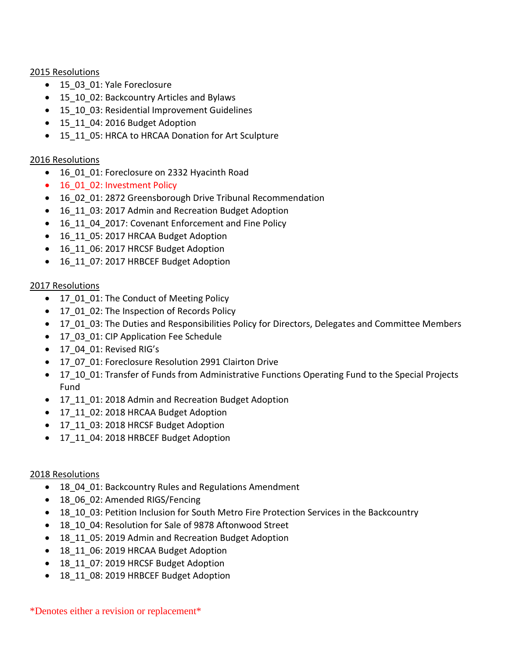- 15 03 01: Yale Foreclosure
- 15 10 02: Backcountry Articles and Bylaws
- 15 10 03: Residential Improvement Guidelines
- 15 11 04: 2016 Budget Adoption
- 15 11 05: HRCA to HRCAA Donation for Art Sculpture

## 2016 Resolutions

- 16 01 01: Foreclosure on 2332 Hyacinth Road
- 16 01 02: Investment Policy
- 16 02 01: 2872 Greensborough Drive Tribunal Recommendation
- 16 11 03: 2017 Admin and Recreation Budget Adoption
- 16\_11\_04\_2017: Covenant Enforcement and Fine Policy
- 16 11 05: 2017 HRCAA Budget Adoption
- 16 11 06: 2017 HRCSF Budget Adoption
- 16 11 07: 2017 HRBCEF Budget Adoption

# 2017 Resolutions

- 17\_01\_01: The Conduct of Meeting Policy
- 17\_01\_02: The Inspection of Records Policy
- 17 01 03: The Duties and Responsibilities Policy for Directors, Delegates and Committee Members
- 17\_03\_01: CIP Application Fee Schedule
- 17\_04\_01: Revised RIG's
- 17\_07\_01: Foreclosure Resolution 2991 Clairton Drive
- 17\_10\_01: Transfer of Funds from Administrative Functions Operating Fund to the Special Projects Fund
- 17 11 01: 2018 Admin and Recreation Budget Adoption
- 17\_11\_02: 2018 HRCAA Budget Adoption
- 17\_11\_03: 2018 HRCSF Budget Adoption
- 17\_11\_04: 2018 HRBCEF Budget Adoption

# 2018 Resolutions

- 18 04 01: Backcountry Rules and Regulations Amendment
- 18 06 02: Amended RIGS/Fencing
- 18 10 03: Petition Inclusion for South Metro Fire Protection Services in the Backcountry
- 18 10 04: Resolution for Sale of 9878 Aftonwood Street
- 18 11 05: 2019 Admin and Recreation Budget Adoption
- 18 11 06: 2019 HRCAA Budget Adoption
- 18 11 07: 2019 HRCSF Budget Adoption
- 18 11 08: 2019 HRBCEF Budget Adoption

\*Denotes either a revision or replacement\*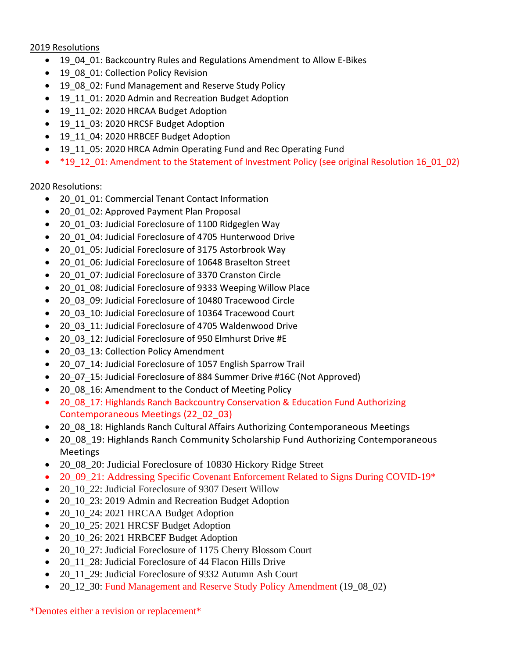- 19\_04\_01: Backcountry Rules and Regulations Amendment to Allow E-Bikes
- 19 08 01: Collection Policy Revision
- 19 08 02: Fund Management and Reserve Study Policy
- 19 11 01: 2020 Admin and Recreation Budget Adoption
- 19 11 02: 2020 HRCAA Budget Adoption
- 19 11 03: 2020 HRCSF Budget Adoption
- 19 11 04: 2020 HRBCEF Budget Adoption
- 19\_11\_05: 2020 HRCA Admin Operating Fund and Rec Operating Fund
- \*19\_12\_01: Amendment to the Statement of Investment Policy (see original Resolution 16\_01\_02)

#### 2020 Resolutions:

- 20\_01\_01: Commercial Tenant Contact Information
- 20\_01\_02: Approved Payment Plan Proposal
- 20\_01\_03: Judicial Foreclosure of 1100 Ridgeglen Way
- 20 01 04: Judicial Foreclosure of 4705 Hunterwood Drive
- 20\_01\_05: Judicial Foreclosure of 3175 Astorbrook Way
- 20\_01\_06: Judicial Foreclosure of 10648 Braselton Street
- 20\_01\_07: Judicial Foreclosure of 3370 Cranston Circle
- 20 01 08: Judicial Foreclosure of 9333 Weeping Willow Place
- 20\_03\_09: Judicial Foreclosure of 10480 Tracewood Circle
- 20\_03\_10: Judicial Foreclosure of 10364 Tracewood Court
- 20\_03\_11: Judicial Foreclosure of 4705 Waldenwood Drive
- 20\_03\_12: Judicial Foreclosure of 950 Elmhurst Drive #E
- 20\_03\_13: Collection Policy Amendment
- 20 07 14: Judicial Foreclosure of 1057 English Sparrow Trail
- 20 07 15: Judicial Foreclosure of 884 Summer Drive #16C (Not Approved)
- 20\_08\_16: Amendment to the Conduct of Meeting Policy
- 20\_08\_17: Highlands Ranch Backcountry Conservation & Education Fund Authorizing Contemporaneous Meetings (22\_02\_03)
- 20 08 18: Highlands Ranch Cultural Affairs Authorizing Contemporaneous Meetings
- 20\_08\_19: Highlands Ranch Community Scholarship Fund Authorizing Contemporaneous Meetings
- 20 08 20: Judicial Foreclosure of 10830 Hickory Ridge Street
- 20\_09\_21: Addressing Specific Covenant Enforcement Related to Signs During COVID-19\*
- 20\_10\_22: Judicial Foreclosure of 9307 Desert Willow
- 20\_10\_23: 2019 Admin and Recreation Budget Adoption
- 20\_10\_24: 2021 HRCAA Budget Adoption
- 20\_10\_25: 2021 HRCSF Budget Adoption
- 20\_10\_26: 2021 HRBCEF Budget Adoption
- 20 10 27: Judicial Foreclosure of 1175 Cherry Blossom Court
- 20\_11\_28: Judicial Foreclosure of 44 Flacon Hills Drive
- 20\_11\_29: Judicial Foreclosure of 9332 Autumn Ash Court
- 20\_12\_30: Fund Management and Reserve Study Policy Amendment (19\_08\_02)

\*Denotes either a revision or replacement\*